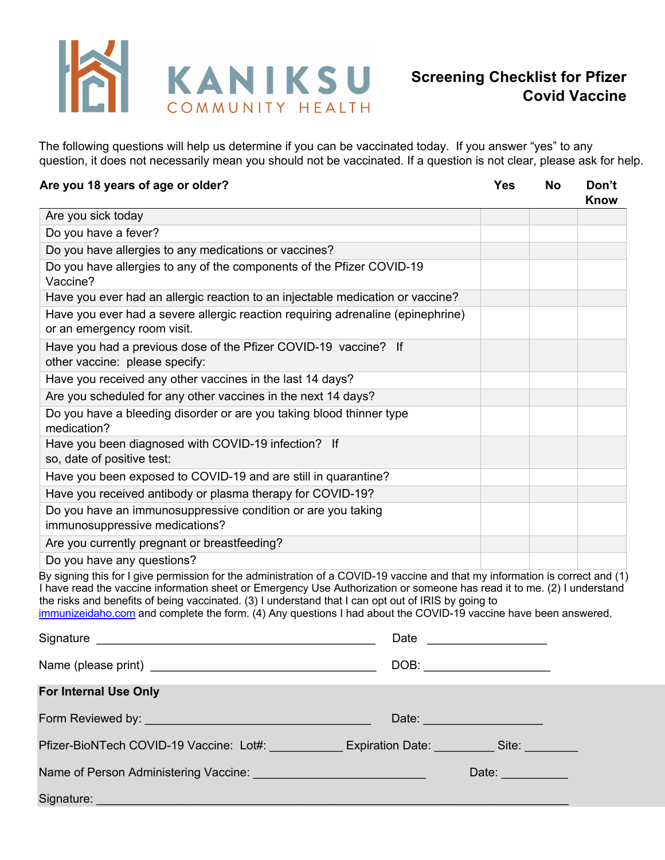

The following questions will help us determine if you can be vaccinated today. If you answer "yes" to any question, it does not necessarily mean you should not be vaccinated. If a question is not clear, please ask for help.

| Are you 18 years of age or older?                                                                                                                                                                                                                                                                                                                                                                                                                                                  |                     | <b>Yes</b>                                                                                                                                                                                                                     | <b>No</b> | Don't<br><b>Know</b> |
|------------------------------------------------------------------------------------------------------------------------------------------------------------------------------------------------------------------------------------------------------------------------------------------------------------------------------------------------------------------------------------------------------------------------------------------------------------------------------------|---------------------|--------------------------------------------------------------------------------------------------------------------------------------------------------------------------------------------------------------------------------|-----------|----------------------|
| Are you sick today                                                                                                                                                                                                                                                                                                                                                                                                                                                                 |                     |                                                                                                                                                                                                                                |           |                      |
| Do you have a fever?                                                                                                                                                                                                                                                                                                                                                                                                                                                               |                     |                                                                                                                                                                                                                                |           |                      |
| Do you have allergies to any medications or vaccines?                                                                                                                                                                                                                                                                                                                                                                                                                              |                     |                                                                                                                                                                                                                                |           |                      |
| Do you have allergies to any of the components of the Pfizer COVID-19<br>Vaccine?                                                                                                                                                                                                                                                                                                                                                                                                  |                     |                                                                                                                                                                                                                                |           |                      |
| Have you ever had an allergic reaction to an injectable medication or vaccine?                                                                                                                                                                                                                                                                                                                                                                                                     |                     |                                                                                                                                                                                                                                |           |                      |
| Have you ever had a severe allergic reaction requiring adrenaline (epinephrine)<br>or an emergency room visit.                                                                                                                                                                                                                                                                                                                                                                     |                     |                                                                                                                                                                                                                                |           |                      |
| Have you had a previous dose of the Pfizer COVID-19 vaccine? If<br>other vaccine: please specify:                                                                                                                                                                                                                                                                                                                                                                                  |                     |                                                                                                                                                                                                                                |           |                      |
| Have you received any other vaccines in the last 14 days?                                                                                                                                                                                                                                                                                                                                                                                                                          |                     |                                                                                                                                                                                                                                |           |                      |
| Are you scheduled for any other vaccines in the next 14 days?                                                                                                                                                                                                                                                                                                                                                                                                                      |                     |                                                                                                                                                                                                                                |           |                      |
| Do you have a bleeding disorder or are you taking blood thinner type<br>medication?                                                                                                                                                                                                                                                                                                                                                                                                |                     |                                                                                                                                                                                                                                |           |                      |
| Have you been diagnosed with COVID-19 infection? If<br>so, date of positive test:                                                                                                                                                                                                                                                                                                                                                                                                  |                     |                                                                                                                                                                                                                                |           |                      |
| Have you been exposed to COVID-19 and are still in quarantine?                                                                                                                                                                                                                                                                                                                                                                                                                     |                     |                                                                                                                                                                                                                                |           |                      |
| Have you received antibody or plasma therapy for COVID-19?                                                                                                                                                                                                                                                                                                                                                                                                                         |                     |                                                                                                                                                                                                                                |           |                      |
| Do you have an immunosuppressive condition or are you taking<br>immunosuppressive medications?                                                                                                                                                                                                                                                                                                                                                                                     |                     |                                                                                                                                                                                                                                |           |                      |
| Are you currently pregnant or breastfeeding?                                                                                                                                                                                                                                                                                                                                                                                                                                       |                     |                                                                                                                                                                                                                                |           |                      |
| Do you have any questions?                                                                                                                                                                                                                                                                                                                                                                                                                                                         |                     |                                                                                                                                                                                                                                |           |                      |
| By signing this for I give permission for the administration of a COVID-19 vaccine and that my information is correct and (1)<br>I have read the vaccine information sheet or Emergency Use Authorization or someone has read it to me. (2) I understand<br>the risks and benefits of being vaccinated. (3) I understand that I can opt out of IRIS by going to<br>immunizeidaho.com and complete the form. (4) Any questions I had about the COVID-19 vaccine have been answered. |                     |                                                                                                                                                                                                                                |           |                      |
| Signature<br><u> 1980 - Jan Alexandria de Arabel de Santo III e al Indonesia de la contrada de la contrada de la contrada de</u>                                                                                                                                                                                                                                                                                                                                                   | Date ______________ |                                                                                                                                                                                                                                |           |                      |
| Name (please print) Name (please print)                                                                                                                                                                                                                                                                                                                                                                                                                                            |                     | DOB: the contract of the contract of the contract of the contract of the contract of the contract of the contract of the contract of the contract of the contract of the contract of the contract of the contract of the contr |           |                      |
| <b>For Internal Use Only</b>                                                                                                                                                                                                                                                                                                                                                                                                                                                       |                     |                                                                                                                                                                                                                                |           |                      |
| Form Reviewed by:                                                                                                                                                                                                                                                                                                                                                                                                                                                                  | Date:               |                                                                                                                                                                                                                                |           |                      |

Pfizer-BioNTech COVID-19 Vaccine: Lot#: \_\_\_\_\_\_\_\_\_\_\_ Expiration Date: \_\_\_\_\_\_\_\_\_ Site: \_

| Name of Person Administering Vaccine: | Date: |
|---------------------------------------|-------|
|---------------------------------------|-------|

Signature: